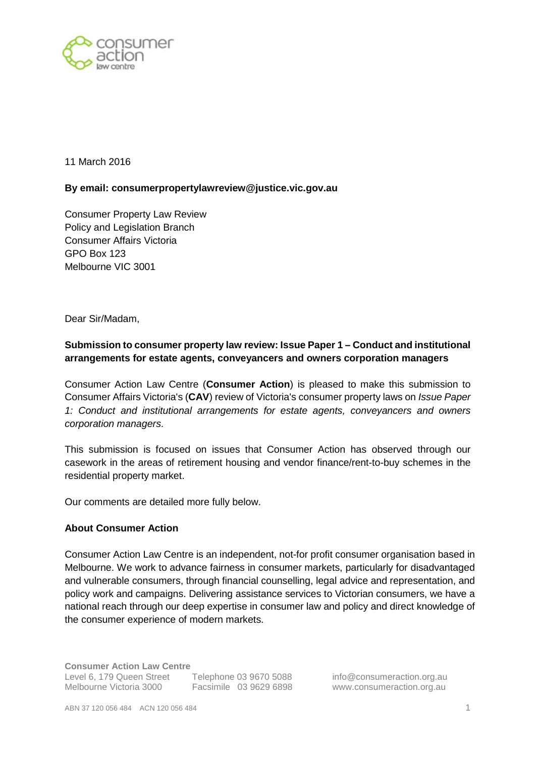

11 March 2016

### **By email: consumerpropertylawreview@justice.vic.gov.au**

Consumer Property Law Review Policy and Legislation Branch Consumer Affairs Victoria GPO Box 123 Melbourne VIC 3001

Dear Sir/Madam,

# **Submission to consumer property law review: Issue Paper 1 – Conduct and institutional arrangements for estate agents, conveyancers and owners corporation managers**

Consumer Action Law Centre (**Consumer Action**) is pleased to make this submission to Consumer Affairs Victoria's (**CAV**) review of Victoria's consumer property laws on Issue Paper 1: Conduct and institutional arrangements for estate agents, conveyancers and owners corporation managers.

This submission is focused on issues that Consumer Action has observed through our casework in the areas of retirement housing and vendor finance/rent-to-buy schemes in the residential property market.

Our comments are detailed more fully below.

### **About Consumer Action**

Consumer Action Law Centre is an independent, not-for profit consumer organisation based in Melbourne. We work to advance fairness in consumer markets, particularly for disadvantaged and vulnerable consumers, through financial counselling, legal advice and representation, and policy work and campaigns. Delivering assistance services to Victorian consumers, we have a national reach through our deep expertise in consumer law and policy and direct knowledge of the consumer experience of modern markets.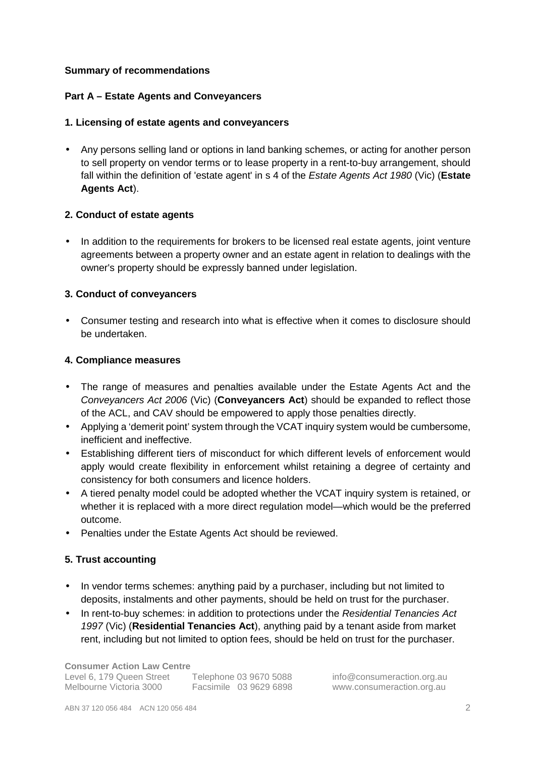### **Summary of recommendations**

### **Part A – Estate Agents and Conveyancers**

### **1. Licensing of estate agents and conveyancers**

• Any persons selling land or options in land banking schemes, or acting for another person to sell property on vendor terms or to lease property in a rent-to-buy arrangement, should fall within the definition of 'estate agent' in s 4 of the Estate Agents Act 1980 (Vic) (**Estate Agents Act**).

### **2. Conduct of estate agents**

• In addition to the requirements for brokers to be licensed real estate agents, joint venture agreements between a property owner and an estate agent in relation to dealings with the owner's property should be expressly banned under legislation.

### **3. Conduct of conveyancers**

• Consumer testing and research into what is effective when it comes to disclosure should be undertaken.

### **4. Compliance measures**

- The range of measures and penalties available under the Estate Agents Act and the Conveyancers Act 2006 (Vic) (**Conveyancers Act**) should be expanded to reflect those of the ACL, and CAV should be empowered to apply those penalties directly.
- Applying a 'demerit point' system through the VCAT inquiry system would be cumbersome, inefficient and ineffective.
- Establishing different tiers of misconduct for which different levels of enforcement would apply would create flexibility in enforcement whilst retaining a degree of certainty and consistency for both consumers and licence holders.
- A tiered penalty model could be adopted whether the VCAT inquiry system is retained, or whether it is replaced with a more direct regulation model—which would be the preferred outcome.
- Penalties under the Estate Agents Act should be reviewed.

# **5. Trust accounting**

- In vendor terms schemes: anything paid by a purchaser, including but not limited to deposits, instalments and other payments, should be held on trust for the purchaser.
- In rent-to-buy schemes: in addition to protections under the Residential Tenancies Act 1997 (Vic) (**Residential Tenancies Act**), anything paid by a tenant aside from market rent, including but not limited to option fees, should be held on trust for the purchaser.

**Consumer Action Law Centre** 

Level 6, 179 Queen Street Telephone 03 9670 5088 info@consumeraction.org.au<br>Melbourne Victoria 3000 Facsimile 03 9629 6898 www.consumeraction.org.au

Facsimile 03 9629 6898 www.consumeraction.org.au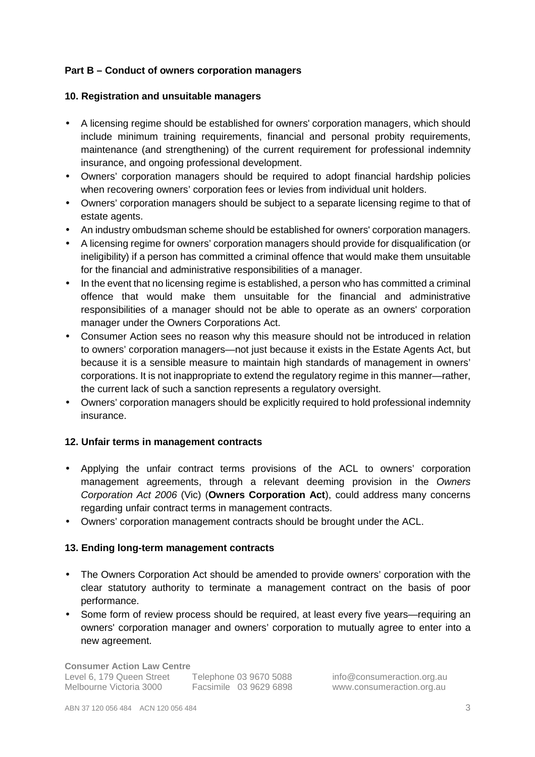# **Part B – Conduct of owners corporation managers**

#### **10. Registration and unsuitable managers**

- A licensing regime should be established for owners' corporation managers, which should include minimum training requirements, financial and personal probity requirements, maintenance (and strengthening) of the current requirement for professional indemnity insurance, and ongoing professional development.
- Owners' corporation managers should be required to adopt financial hardship policies when recovering owners' corporation fees or levies from individual unit holders.
- Owners' corporation managers should be subject to a separate licensing regime to that of estate agents.
- An industry ombudsman scheme should be established for owners' corporation managers.
- A licensing regime for owners' corporation managers should provide for disqualification (or ineligibility) if a person has committed a criminal offence that would make them unsuitable for the financial and administrative responsibilities of a manager.
- In the event that no licensing regime is established, a person who has committed a criminal offence that would make them unsuitable for the financial and administrative responsibilities of a manager should not be able to operate as an owners' corporation manager under the Owners Corporations Act.
- Consumer Action sees no reason why this measure should not be introduced in relation to owners' corporation managers—not just because it exists in the Estate Agents Act, but because it is a sensible measure to maintain high standards of management in owners' corporations. It is not inappropriate to extend the regulatory regime in this manner—rather, the current lack of such a sanction represents a regulatory oversight.
- Owners' corporation managers should be explicitly required to hold professional indemnity insurance.

### **12. Unfair terms in management contracts**

- Applying the unfair contract terms provisions of the ACL to owners' corporation management agreements, through a relevant deeming provision in the Owners Corporation Act 2006 (Vic) (**Owners Corporation Act**), could address many concerns regarding unfair contract terms in management contracts.
- Owners' corporation management contracts should be brought under the ACL.

### **13. Ending long-term management contracts**

- The Owners Corporation Act should be amended to provide owners' corporation with the clear statutory authority to terminate a management contract on the basis of poor performance.
- Some form of review process should be required, at least every five years—requiring an owners' corporation manager and owners' corporation to mutually agree to enter into a new agreement.

**Consumer Action Law Centre**  Level 6, 179 Queen Street Telephone 03 9670 5088 info@consumeraction.org.au Melbourne Victoria 3000 Facsimile 03 9629 6898 www.consumeraction.org.au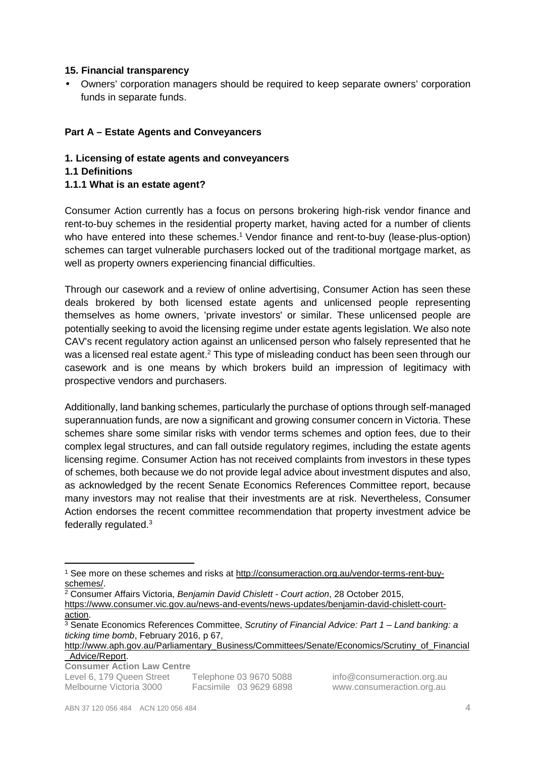### **15. Financial transparency**

• Owners' corporation managers should be required to keep separate owners' corporation funds in separate funds.

# **Part A – Estate Agents and Conveyancers**

- **1. Licensing of estate agents and conveyancers**
- **1.1 Definitions**
- **1.1.1 What is an estate agent?**

Consumer Action currently has a focus on persons brokering high-risk vendor finance and rent-to-buy schemes in the residential property market, having acted for a number of clients who have entered into these schemes.<sup>1</sup> Vendor finance and rent-to-buy (lease-plus-option) schemes can target vulnerable purchasers locked out of the traditional mortgage market, as well as property owners experiencing financial difficulties.

Through our casework and a review of online advertising, Consumer Action has seen these deals brokered by both licensed estate agents and unlicensed people representing themselves as home owners, 'private investors' or similar. These unlicensed people are potentially seeking to avoid the licensing regime under estate agents legislation. We also note CAV's recent regulatory action against an unlicensed person who falsely represented that he was a licensed real estate agent.<sup>2</sup> This type of misleading conduct has been seen through our casework and is one means by which brokers build an impression of legitimacy with prospective vendors and purchasers.

Additionally, land banking schemes, particularly the purchase of options through self-managed superannuation funds, are now a significant and growing consumer concern in Victoria. These schemes share some similar risks with vendor terms schemes and option fees, due to their complex legal structures, and can fall outside regulatory regimes, including the estate agents licensing regime. Consumer Action has not received complaints from investors in these types of schemes, both because we do not provide legal advice about investment disputes and also, as acknowledged by the recent Senate Economics References Committee report, because many investors may not realise that their investments are at risk. Nevertheless, Consumer Action endorses the recent committee recommendation that property investment advice be federally regulated.<sup>3</sup>

**Consumer Action Law Centre** 

l

Level 6, 179 Queen Street Telephone 03 9670 5088 info@consumeraction.org.au Melbourne Victoria 3000 Facsimile 03 9629 6898 www.consumeraction.org.au

<sup>&</sup>lt;sup>1</sup> See more on these schemes and risks at http://consumeraction.org.au/vendor-terms-rent-buyschemes/.

<sup>&</sup>lt;sup>2</sup> Consumer Affairs Victoria, Benjamin David Chislett - Court action, 28 October 2015,

https://www.consumer.vic.gov.au/news-and-events/news-updates/benjamin-david-chislett-courtaction.

<sup>&</sup>lt;sup>3</sup> Senate Economics References Committee, Scrutiny of Financial Advice: Part 1 – Land banking: a ticking time bomb, February 2016, p 67,

http://www.aph.gov.au/Parliamentary\_Business/Committees/Senate/Economics/Scrutiny\_of\_Financial Advice/Report.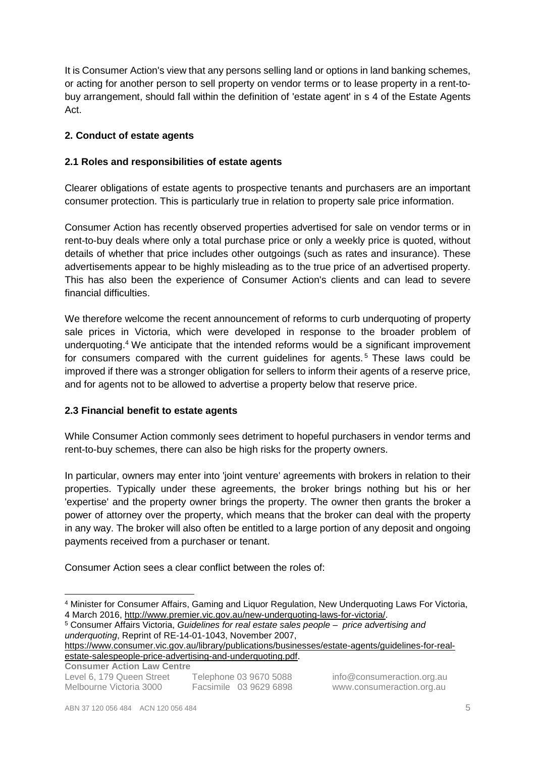It is Consumer Action's view that any persons selling land or options in land banking schemes, or acting for another person to sell property on vendor terms or to lease property in a rent-tobuy arrangement, should fall within the definition of 'estate agent' in s 4 of the Estate Agents Act.

# **2. Conduct of estate agents**

### **2.1 Roles and responsibilities of estate agents**

Clearer obligations of estate agents to prospective tenants and purchasers are an important consumer protection. This is particularly true in relation to property sale price information.

Consumer Action has recently observed properties advertised for sale on vendor terms or in rent-to-buy deals where only a total purchase price or only a weekly price is quoted, without details of whether that price includes other outgoings (such as rates and insurance). These advertisements appear to be highly misleading as to the true price of an advertised property. This has also been the experience of Consumer Action's clients and can lead to severe financial difficulties.

We therefore welcome the recent announcement of reforms to curb underquoting of property sale prices in Victoria, which were developed in response to the broader problem of underquoting.<sup>4</sup> We anticipate that the intended reforms would be a significant improvement for consumers compared with the current guidelines for agents.<sup>5</sup> These laws could be improved if there was a stronger obligation for sellers to inform their agents of a reserve price, and for agents not to be allowed to advertise a property below that reserve price.

### **2.3 Financial benefit to estate agents**

While Consumer Action commonly sees detriment to hopeful purchasers in vendor terms and rent-to-buy schemes, there can also be high risks for the property owners.

In particular, owners may enter into 'joint venture' agreements with brokers in relation to their properties. Typically under these agreements, the broker brings nothing but his or her 'expertise' and the property owner brings the property. The owner then grants the broker a power of attorney over the property, which means that the broker can deal with the property in any way. The broker will also often be entitled to a large portion of any deposit and ongoing payments received from a purchaser or tenant.

Consumer Action sees a clear conflict between the roles of:

https://www.consumer.vic.gov.au/library/publications/businesses/estate-agents/guidelines-for-realestate-salespeople-price-advertising-and-underquoting.pdf.

**Consumer Action Law Centre** 

l

<sup>4</sup> Minister for Consumer Affairs, Gaming and Liquor Regulation, New Underquoting Laws For Victoria, 4 March 2016, http://www.premier.vic.gov.au/new-underquoting-laws-for-victoria/.

<sup>&</sup>lt;sup>5</sup> Consumer Affairs Victoria, Guidelines for real estate sales people - price advertising and underquoting, Reprint of RE-14-01-1043, November 2007,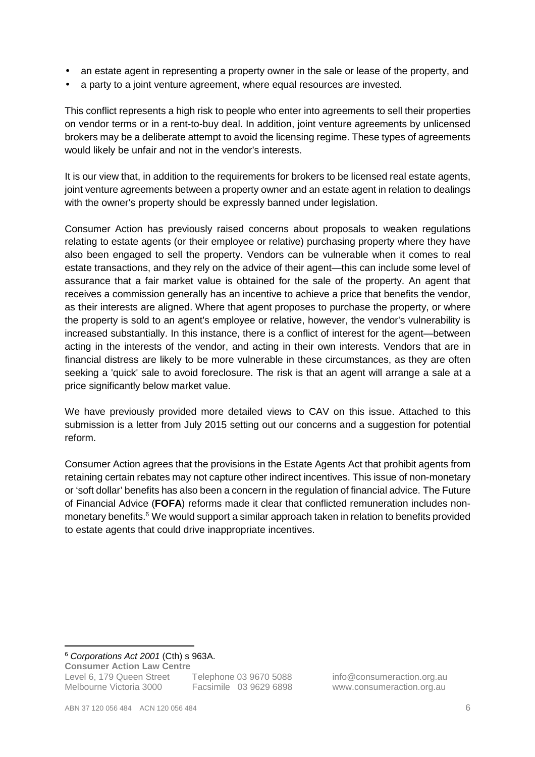- an estate agent in representing a property owner in the sale or lease of the property, and
- a party to a joint venture agreement, where equal resources are invested.

This conflict represents a high risk to people who enter into agreements to sell their properties on vendor terms or in a rent-to-buy deal. In addition, joint venture agreements by unlicensed brokers may be a deliberate attempt to avoid the licensing regime. These types of agreements would likely be unfair and not in the vendor's interests.

It is our view that, in addition to the requirements for brokers to be licensed real estate agents, joint venture agreements between a property owner and an estate agent in relation to dealings with the owner's property should be expressly banned under legislation.

Consumer Action has previously raised concerns about proposals to weaken regulations relating to estate agents (or their employee or relative) purchasing property where they have also been engaged to sell the property. Vendors can be vulnerable when it comes to real estate transactions, and they rely on the advice of their agent—this can include some level of assurance that a fair market value is obtained for the sale of the property. An agent that receives a commission generally has an incentive to achieve a price that benefits the vendor, as their interests are aligned. Where that agent proposes to purchase the property, or where the property is sold to an agent's employee or relative, however, the vendor's vulnerability is increased substantially. In this instance, there is a conflict of interest for the agent—between acting in the interests of the vendor, and acting in their own interests. Vendors that are in financial distress are likely to be more vulnerable in these circumstances, as they are often seeking a 'quick' sale to avoid foreclosure. The risk is that an agent will arrange a sale at a price significantly below market value.

We have previously provided more detailed views to CAV on this issue. Attached to this submission is a letter from July 2015 setting out our concerns and a suggestion for potential reform.

Consumer Action agrees that the provisions in the Estate Agents Act that prohibit agents from retaining certain rebates may not capture other indirect incentives. This issue of non-monetary or 'soft dollar' benefits has also been a concern in the regulation of financial advice. The Future of Financial Advice (**FOFA**) reforms made it clear that conflicted remuneration includes nonmonetary benefits.<sup>6</sup> We would support a similar approach taken in relation to benefits provided to estate agents that could drive inappropriate incentives.

<sup>6</sup> Corporations Act 2001 (Cth) s 963A.

**Consumer Action Law Centre** 

Level 6, 179 Queen Street Telephone 03 9670 5088 info@consumeraction.org.au

 $\overline{a}$ 

Melbourne Victoria 3000 Facsimile 03 9629 6898 www.consumeraction.org.au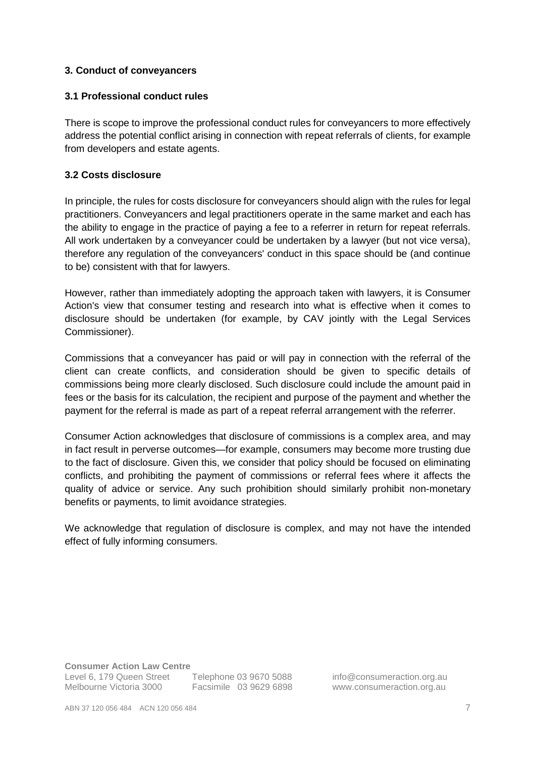### **3. Conduct of conveyancers**

### **3.1 Professional conduct rules**

There is scope to improve the professional conduct rules for conveyancers to more effectively address the potential conflict arising in connection with repeat referrals of clients, for example from developers and estate agents.

### **3.2 Costs disclosure**

In principle, the rules for costs disclosure for conveyancers should align with the rules for legal practitioners. Conveyancers and legal practitioners operate in the same market and each has the ability to engage in the practice of paying a fee to a referrer in return for repeat referrals. All work undertaken by a conveyancer could be undertaken by a lawyer (but not vice versa), therefore any regulation of the conveyancers' conduct in this space should be (and continue to be) consistent with that for lawyers.

However, rather than immediately adopting the approach taken with lawyers, it is Consumer Action's view that consumer testing and research into what is effective when it comes to disclosure should be undertaken (for example, by CAV jointly with the Legal Services Commissioner).

Commissions that a conveyancer has paid or will pay in connection with the referral of the client can create conflicts, and consideration should be given to specific details of commissions being more clearly disclosed. Such disclosure could include the amount paid in fees or the basis for its calculation, the recipient and purpose of the payment and whether the payment for the referral is made as part of a repeat referral arrangement with the referrer.

Consumer Action acknowledges that disclosure of commissions is a complex area, and may in fact result in perverse outcomes—for example, consumers may become more trusting due to the fact of disclosure. Given this, we consider that policy should be focused on eliminating conflicts, and prohibiting the payment of commissions or referral fees where it affects the quality of advice or service. Any such prohibition should similarly prohibit non-monetary benefits or payments, to limit avoidance strategies.

We acknowledge that regulation of disclosure is complex, and may not have the intended effect of fully informing consumers.

**Consumer Action Law Centre** 

Level 6, 179 Queen Street Telephone 03 9670 5088 info@consumeraction.org.au Melbourne Victoria 3000 Facsimile 03 9629 6898 www.consumeraction.org.au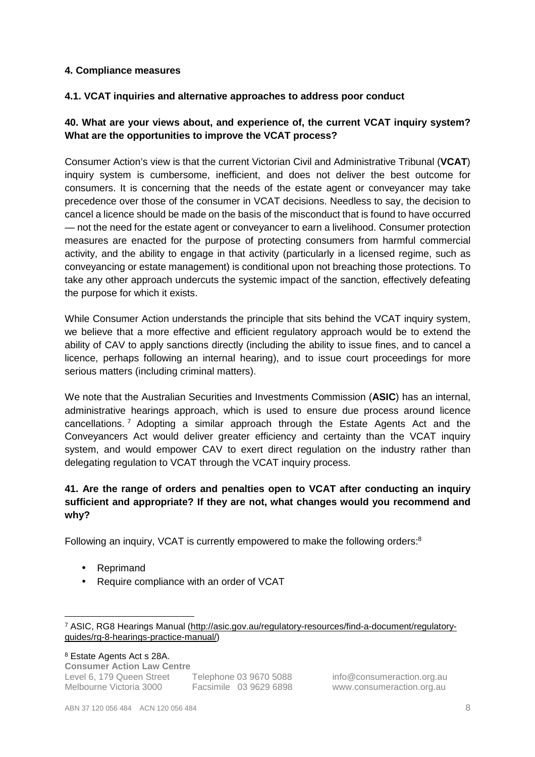### **4. Compliance measures**

### **4.1. VCAT inquiries and alternative approaches to address poor conduct**

# **40. What are your views about, and experience of, the current VCAT inquiry system? What are the opportunities to improve the VCAT process?**

Consumer Action's view is that the current Victorian Civil and Administrative Tribunal (**VCAT**) inquiry system is cumbersome, inefficient, and does not deliver the best outcome for consumers. It is concerning that the needs of the estate agent or conveyancer may take precedence over those of the consumer in VCAT decisions. Needless to say, the decision to cancel a licence should be made on the basis of the misconduct that is found to have occurred — not the need for the estate agent or conveyancer to earn a livelihood. Consumer protection measures are enacted for the purpose of protecting consumers from harmful commercial activity, and the ability to engage in that activity (particularly in a licensed regime, such as conveyancing or estate management) is conditional upon not breaching those protections. To take any other approach undercuts the systemic impact of the sanction, effectively defeating the purpose for which it exists.

While Consumer Action understands the principle that sits behind the VCAT inquiry system, we believe that a more effective and efficient regulatory approach would be to extend the ability of CAV to apply sanctions directly (including the ability to issue fines, and to cancel a licence, perhaps following an internal hearing), and to issue court proceedings for more serious matters (including criminal matters).

We note that the Australian Securities and Investments Commission (**ASIC**) has an internal, administrative hearings approach, which is used to ensure due process around licence cancellations.<sup>7</sup> Adopting a similar approach through the Estate Agents Act and the Conveyancers Act would deliver greater efficiency and certainty than the VCAT inquiry system, and would empower CAV to exert direct regulation on the industry rather than delegating regulation to VCAT through the VCAT inquiry process.

# **41. Are the range of orders and penalties open to VCAT after conducting an inquiry sufficient and appropriate? If they are not, what changes would you recommend and why?**

Following an inquiry, VCAT is currently empowered to make the following orders:<sup>8</sup>

• Reprimand

 $\overline{a}$ 

• Require compliance with an order of VCAT

**Consumer Action Law Centre**  Level 6, 179 Queen Street Telephone 03 9670 5088 info@consumeraction.org.au Melbourne Victoria 3000 Facsimile 03 9629 6898 www.consumeraction.org.au 8 Estate Agents Act s 28A.

<sup>&</sup>lt;sup>7</sup> ASIC, RG8 Hearings Manual (http://asic.gov.au/regulatory-resources/find-a-document/regulatoryguides/rg-8-hearings-practice-manual/)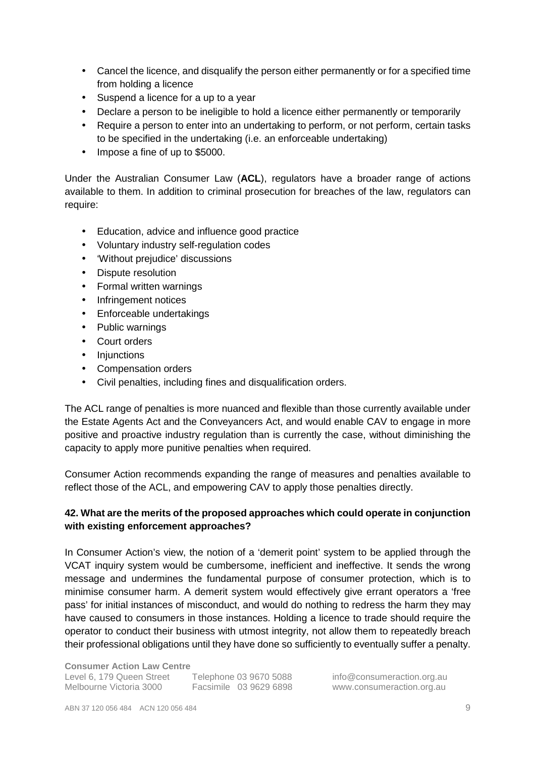- Cancel the licence, and disqualify the person either permanently or for a specified time from holding a licence
- Suspend a licence for a up to a year
- Declare a person to be ineligible to hold a licence either permanently or temporarily
- Require a person to enter into an undertaking to perform, or not perform, certain tasks to be specified in the undertaking (i.e. an enforceable undertaking)
- Impose a fine of up to \$5000.

Under the Australian Consumer Law (**ACL**), regulators have a broader range of actions available to them. In addition to criminal prosecution for breaches of the law, regulators can require:

- Education, advice and influence good practice
- Voluntary industry self-regulation codes
- 'Without prejudice' discussions
- Dispute resolution
- Formal written warnings
- Infringement notices
- Enforceable undertakings
- Public warnings
- Court orders
- Injunctions
- Compensation orders
- Civil penalties, including fines and disqualification orders.

The ACL range of penalties is more nuanced and flexible than those currently available under the Estate Agents Act and the Conveyancers Act, and would enable CAV to engage in more positive and proactive industry regulation than is currently the case, without diminishing the capacity to apply more punitive penalties when required.

Consumer Action recommends expanding the range of measures and penalties available to reflect those of the ACL, and empowering CAV to apply those penalties directly.

# **42. What are the merits of the proposed approaches which could operate in conjunction with existing enforcement approaches?**

In Consumer Action's view, the notion of a 'demerit point' system to be applied through the VCAT inquiry system would be cumbersome, inefficient and ineffective. It sends the wrong message and undermines the fundamental purpose of consumer protection, which is to minimise consumer harm. A demerit system would effectively give errant operators a 'free pass' for initial instances of misconduct, and would do nothing to redress the harm they may have caused to consumers in those instances. Holding a licence to trade should require the operator to conduct their business with utmost integrity, not allow them to repeatedly breach their professional obligations until they have done so sufficiently to eventually suffer a penalty.

Facsimile 03 9629 6898 www.consumeraction.org.au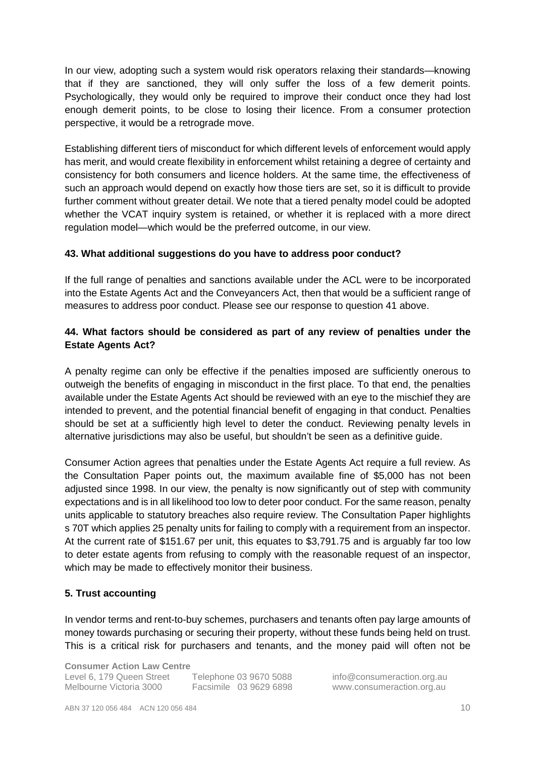In our view, adopting such a system would risk operators relaxing their standards—knowing that if they are sanctioned, they will only suffer the loss of a few demerit points. Psychologically, they would only be required to improve their conduct once they had lost enough demerit points, to be close to losing their licence. From a consumer protection perspective, it would be a retrograde move.

Establishing different tiers of misconduct for which different levels of enforcement would apply has merit, and would create flexibility in enforcement whilst retaining a degree of certainty and consistency for both consumers and licence holders. At the same time, the effectiveness of such an approach would depend on exactly how those tiers are set, so it is difficult to provide further comment without greater detail. We note that a tiered penalty model could be adopted whether the VCAT inquiry system is retained, or whether it is replaced with a more direct regulation model—which would be the preferred outcome, in our view.

### **43. What additional suggestions do you have to address poor conduct?**

If the full range of penalties and sanctions available under the ACL were to be incorporated into the Estate Agents Act and the Conveyancers Act, then that would be a sufficient range of measures to address poor conduct. Please see our response to question 41 above.

# **44. What factors should be considered as part of any review of penalties under the Estate Agents Act?**

A penalty regime can only be effective if the penalties imposed are sufficiently onerous to outweigh the benefits of engaging in misconduct in the first place. To that end, the penalties available under the Estate Agents Act should be reviewed with an eye to the mischief they are intended to prevent, and the potential financial benefit of engaging in that conduct. Penalties should be set at a sufficiently high level to deter the conduct. Reviewing penalty levels in alternative jurisdictions may also be useful, but shouldn't be seen as a definitive guide.

Consumer Action agrees that penalties under the Estate Agents Act require a full review. As the Consultation Paper points out, the maximum available fine of \$5,000 has not been adjusted since 1998. In our view, the penalty is now significantly out of step with community expectations and is in all likelihood too low to deter poor conduct. For the same reason, penalty units applicable to statutory breaches also require review. The Consultation Paper highlights s 70T which applies 25 penalty units for failing to comply with a requirement from an inspector. At the current rate of \$151.67 per unit, this equates to \$3,791.75 and is arguably far too low to deter estate agents from refusing to comply with the reasonable request of an inspector, which may be made to effectively monitor their business.

### **5. Trust accounting**

In vendor terms and rent-to-buy schemes, purchasers and tenants often pay large amounts of money towards purchasing or securing their property, without these funds being held on trust. This is a critical risk for purchasers and tenants, and the money paid will often not be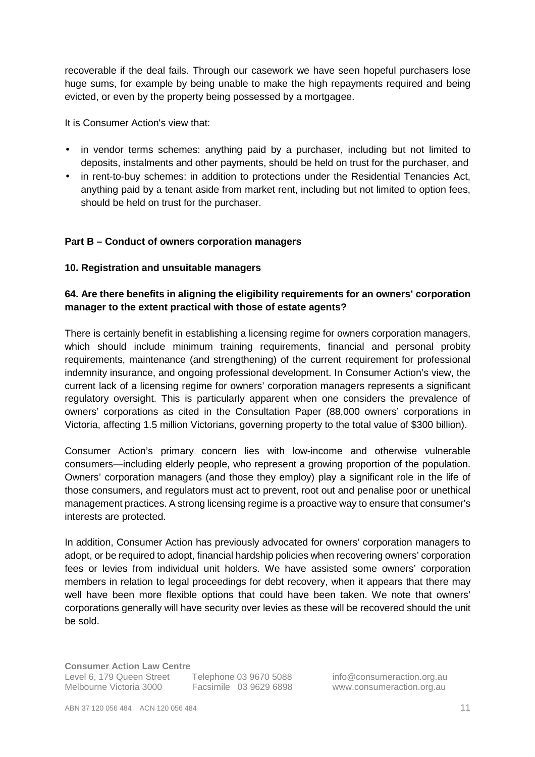recoverable if the deal fails. Through our casework we have seen hopeful purchasers lose huge sums, for example by being unable to make the high repayments required and being evicted, or even by the property being possessed by a mortgagee.

It is Consumer Action's view that:

- in vendor terms schemes: anything paid by a purchaser, including but not limited to deposits, instalments and other payments, should be held on trust for the purchaser, and
- in rent-to-buy schemes: in addition to protections under the Residential Tenancies Act, anything paid by a tenant aside from market rent, including but not limited to option fees, should be held on trust for the purchaser.

### **Part B – Conduct of owners corporation managers**

### **10. Registration and unsuitable managers**

# **64. Are there benefits in aligning the eligibility requirements for an owners' corporation manager to the extent practical with those of estate agents?**

There is certainly benefit in establishing a licensing regime for owners corporation managers, which should include minimum training requirements, financial and personal probity requirements, maintenance (and strengthening) of the current requirement for professional indemnity insurance, and ongoing professional development. In Consumer Action's view, the current lack of a licensing regime for owners' corporation managers represents a significant regulatory oversight. This is particularly apparent when one considers the prevalence of owners' corporations as cited in the Consultation Paper (88,000 owners' corporations in Victoria, affecting 1.5 million Victorians, governing property to the total value of \$300 billion).

Consumer Action's primary concern lies with low-income and otherwise vulnerable consumers—including elderly people, who represent a growing proportion of the population. Owners' corporation managers (and those they employ) play a significant role in the life of those consumers, and regulators must act to prevent, root out and penalise poor or unethical management practices. A strong licensing regime is a proactive way to ensure that consumer's interests are protected.

In addition, Consumer Action has previously advocated for owners' corporation managers to adopt, or be required to adopt, financial hardship policies when recovering owners' corporation fees or levies from individual unit holders. We have assisted some owners' corporation members in relation to legal proceedings for debt recovery, when it appears that there may well have been more flexible options that could have been taken. We note that owners' corporations generally will have security over levies as these will be recovered should the unit be sold.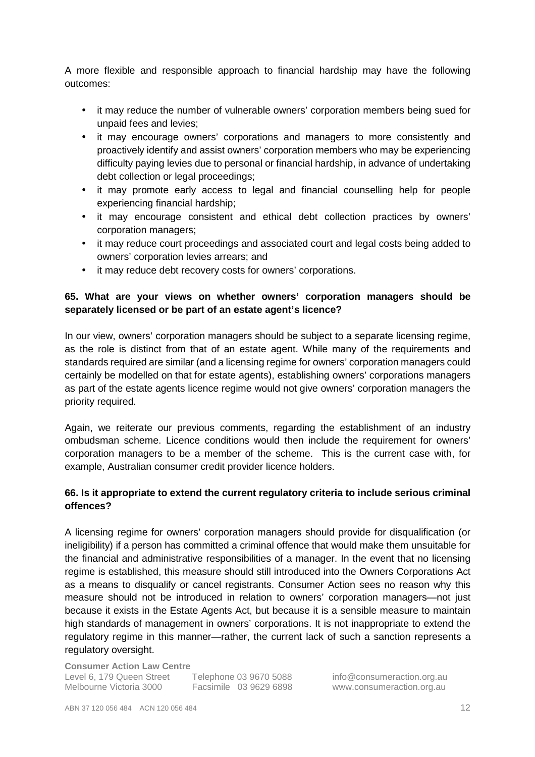A more flexible and responsible approach to financial hardship may have the following outcomes:

- it may reduce the number of vulnerable owners' corporation members being sued for unpaid fees and levies;
- it may encourage owners' corporations and managers to more consistently and proactively identify and assist owners' corporation members who may be experiencing difficulty paying levies due to personal or financial hardship, in advance of undertaking debt collection or legal proceedings;
- it may promote early access to legal and financial counselling help for people experiencing financial hardship;
- it may encourage consistent and ethical debt collection practices by owners' corporation managers;
- it may reduce court proceedings and associated court and legal costs being added to owners' corporation levies arrears; and
- it may reduce debt recovery costs for owners' corporations.

# **65. What are your views on whether owners' corporation managers should be separately licensed or be part of an estate agent's licence?**

In our view, owners' corporation managers should be subject to a separate licensing regime, as the role is distinct from that of an estate agent. While many of the requirements and standards required are similar (and a licensing regime for owners' corporation managers could certainly be modelled on that for estate agents), establishing owners' corporations managers as part of the estate agents licence regime would not give owners' corporation managers the priority required.

Again, we reiterate our previous comments, regarding the establishment of an industry ombudsman scheme. Licence conditions would then include the requirement for owners' corporation managers to be a member of the scheme. This is the current case with, for example, Australian consumer credit provider licence holders.

# **66. Is it appropriate to extend the current regulatory criteria to include serious criminal offences?**

A licensing regime for owners' corporation managers should provide for disqualification (or ineligibility) if a person has committed a criminal offence that would make them unsuitable for the financial and administrative responsibilities of a manager. In the event that no licensing regime is established, this measure should still introduced into the Owners Corporations Act as a means to disqualify or cancel registrants. Consumer Action sees no reason why this measure should not be introduced in relation to owners' corporation managers—not just because it exists in the Estate Agents Act, but because it is a sensible measure to maintain high standards of management in owners' corporations. It is not inappropriate to extend the regulatory regime in this manner—rather, the current lack of such a sanction represents a regulatory oversight.

**Consumer Action Law Centre** 

Level 6, 179 Queen Street Telephone 03 9670 5088 info@consumeraction.org.au<br>Melbourne Victoria 3000 Facsimile 03 9629 6898 www.consumeraction.org.au Facsimile 03 9629 6898 www.consumeraction.org.au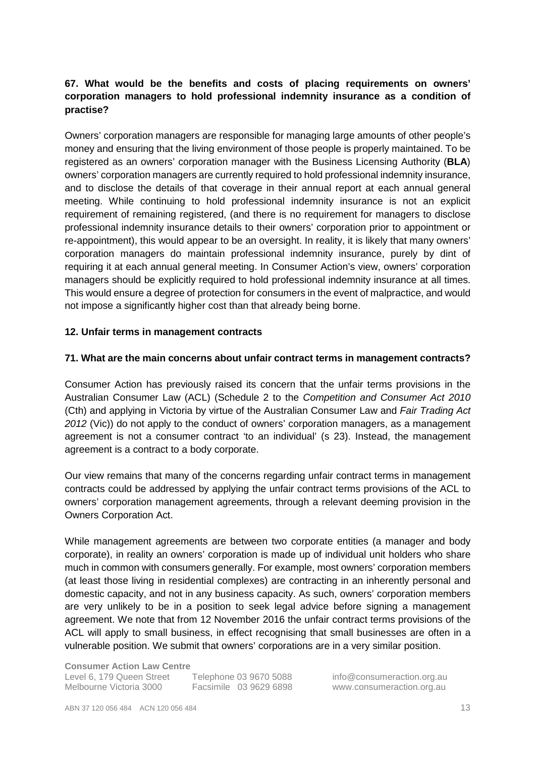# **67. What would be the benefits and costs of placing requirements on owners' corporation managers to hold professional indemnity insurance as a condition of practise?**

Owners' corporation managers are responsible for managing large amounts of other people's money and ensuring that the living environment of those people is properly maintained. To be registered as an owners' corporation manager with the Business Licensing Authority (**BLA**) owners' corporation managers are currently required to hold professional indemnity insurance, and to disclose the details of that coverage in their annual report at each annual general meeting. While continuing to hold professional indemnity insurance is not an explicit requirement of remaining registered, (and there is no requirement for managers to disclose professional indemnity insurance details to their owners' corporation prior to appointment or re-appointment), this would appear to be an oversight. In reality, it is likely that many owners' corporation managers do maintain professional indemnity insurance, purely by dint of requiring it at each annual general meeting. In Consumer Action's view, owners' corporation managers should be explicitly required to hold professional indemnity insurance at all times. This would ensure a degree of protection for consumers in the event of malpractice, and would not impose a significantly higher cost than that already being borne.

### **12. Unfair terms in management contracts**

### **71. What are the main concerns about unfair contract terms in management contracts?**

Consumer Action has previously raised its concern that the unfair terms provisions in the Australian Consumer Law (ACL) (Schedule 2 to the Competition and Consumer Act 2010 (Cth) and applying in Victoria by virtue of the Australian Consumer Law and Fair Trading Act 2012 (Vic)) do not apply to the conduct of owners' corporation managers, as a management agreement is not a consumer contract 'to an individual' (s 23). Instead, the management agreement is a contract to a body corporate.

Our view remains that many of the concerns regarding unfair contract terms in management contracts could be addressed by applying the unfair contract terms provisions of the ACL to owners' corporation management agreements, through a relevant deeming provision in the Owners Corporation Act.

While management agreements are between two corporate entities (a manager and body corporate), in reality an owners' corporation is made up of individual unit holders who share much in common with consumers generally. For example, most owners' corporation members (at least those living in residential complexes) are contracting in an inherently personal and domestic capacity, and not in any business capacity. As such, owners' corporation members are very unlikely to be in a position to seek legal advice before signing a management agreement. We note that from 12 November 2016 the unfair contract terms provisions of the ACL will apply to small business, in effect recognising that small businesses are often in a vulnerable position. We submit that owners' corporations are in a very similar position.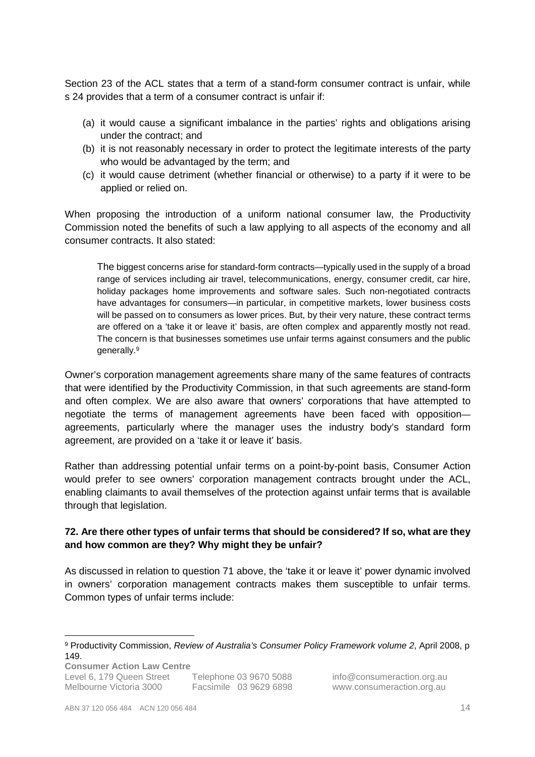Section 23 of the ACL states that a term of a stand-form consumer contract is unfair, while s 24 provides that a term of a consumer contract is unfair if:

- (a) it would cause a significant imbalance in the parties' rights and obligations arising under the contract; and
- (b) it is not reasonably necessary in order to protect the legitimate interests of the party who would be advantaged by the term; and
- (c) it would cause detriment (whether financial or otherwise) to a party if it were to be applied or relied on.

When proposing the introduction of a uniform national consumer law, the Productivity Commission noted the benefits of such a law applying to all aspects of the economy and all consumer contracts. It also stated:

The biggest concerns arise for standard-form contracts—typically used in the supply of a broad range of services including air travel, telecommunications, energy, consumer credit, car hire, holiday packages home improvements and software sales. Such non-negotiated contracts have advantages for consumers—in particular, in competitive markets, lower business costs will be passed on to consumers as lower prices. But, by their very nature, these contract terms are offered on a 'take it or leave it' basis, are often complex and apparently mostly not read. The concern is that businesses sometimes use unfair terms against consumers and the public generally.<sup>9</sup>

Owner's corporation management agreements share many of the same features of contracts that were identified by the Productivity Commission, in that such agreements are stand-form and often complex. We are also aware that owners' corporations that have attempted to negotiate the terms of management agreements have been faced with opposition agreements, particularly where the manager uses the industry body's standard form agreement, are provided on a 'take it or leave it' basis.

Rather than addressing potential unfair terms on a point-by-point basis, Consumer Action would prefer to see owners' corporation management contracts brought under the ACL, enabling claimants to avail themselves of the protection against unfair terms that is available through that legislation.

### **72. Are there other types of unfair terms that should be considered? If so, what are they and how common are they? Why might they be unfair?**

As discussed in relation to question 71 above, the 'take it or leave it' power dynamic involved in owners' corporation management contracts makes them susceptible to unfair terms. Common types of unfair terms include:

**Consumer Action Law Centre**  Level 6, 179 Queen Street Telephone 03 9670 5088 info@consumeraction.org.au<br>Melbourne Victoria 3000 Facsimile 03 9629 6898 www.consumeraction.org.au

Facsimile 03 9629 6898 www.consumeraction.org.au

 $\overline{a}$ 

<sup>&</sup>lt;sup>9</sup> Productivity Commission, *Review of Australia's Consumer Policy Framework volume 2*, April 2008, p 149.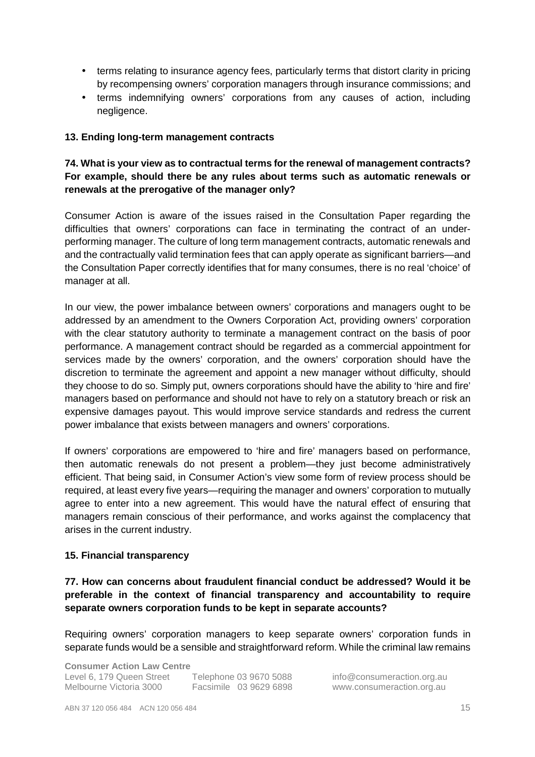- terms relating to insurance agency fees, particularly terms that distort clarity in pricing by recompensing owners' corporation managers through insurance commissions; and
- terms indemnifying owners' corporations from any causes of action, including negligence.

### **13. Ending long-term management contracts**

# **74. What is your view as to contractual terms for the renewal of management contracts? For example, should there be any rules about terms such as automatic renewals or renewals at the prerogative of the manager only?**

Consumer Action is aware of the issues raised in the Consultation Paper regarding the difficulties that owners' corporations can face in terminating the contract of an underperforming manager. The culture of long term management contracts, automatic renewals and and the contractually valid termination fees that can apply operate as significant barriers—and the Consultation Paper correctly identifies that for many consumes, there is no real 'choice' of manager at all.

In our view, the power imbalance between owners' corporations and managers ought to be addressed by an amendment to the Owners Corporation Act, providing owners' corporation with the clear statutory authority to terminate a management contract on the basis of poor performance. A management contract should be regarded as a commercial appointment for services made by the owners' corporation, and the owners' corporation should have the discretion to terminate the agreement and appoint a new manager without difficulty, should they choose to do so. Simply put, owners corporations should have the ability to 'hire and fire' managers based on performance and should not have to rely on a statutory breach or risk an expensive damages payout. This would improve service standards and redress the current power imbalance that exists between managers and owners' corporations.

If owners' corporations are empowered to 'hire and fire' managers based on performance, then automatic renewals do not present a problem—they just become administratively efficient. That being said, in Consumer Action's view some form of review process should be required, at least every five years—requiring the manager and owners' corporation to mutually agree to enter into a new agreement. This would have the natural effect of ensuring that managers remain conscious of their performance, and works against the complacency that arises in the current industry.

### **15. Financial transparency**

**77. How can concerns about fraudulent financial conduct be addressed? Would it be preferable in the context of financial transparency and accountability to require separate owners corporation funds to be kept in separate accounts?** 

Requiring owners' corporation managers to keep separate owners' corporation funds in separate funds would be a sensible and straightforward reform. While the criminal law remains

**Consumer Action Law Centre**  Level 6, 179 Queen Street Telephone 03 9670 5088 info@consumeraction.org.au Melbourne Victoria 3000 Facsimile 03 9629 6898 www.consumeraction.org.au